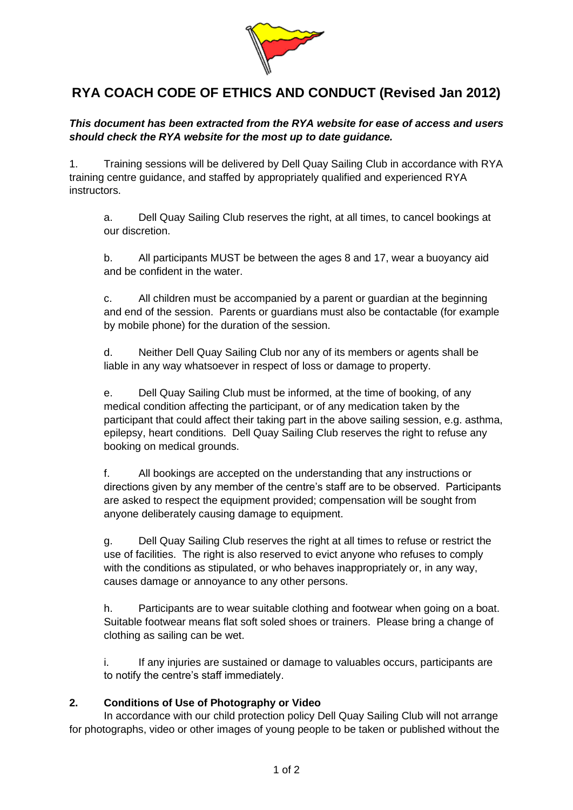

## **RYA COACH CODE OF ETHICS AND CONDUCT (Revised Jan 2012)**

*This document has been extracted from the RYA website for ease of access and users should check the RYA website for the most up to date guidance.*

1. Training sessions will be delivered by Dell Quay Sailing Club in accordance with RYA training centre guidance, and staffed by appropriately qualified and experienced RYA instructors.

a. Dell Quay Sailing Club reserves the right, at all times, to cancel bookings at our discretion.

b. All participants MUST be between the ages 8 and 17, wear a buoyancy aid and be confident in the water

c. All children must be accompanied by a parent or guardian at the beginning and end of the session. Parents or guardians must also be contactable (for example by mobile phone) for the duration of the session.

d. Neither Dell Quay Sailing Club nor any of its members or agents shall be liable in any way whatsoever in respect of loss or damage to property.

e. Dell Quay Sailing Club must be informed, at the time of booking, of any medical condition affecting the participant, or of any medication taken by the participant that could affect their taking part in the above sailing session, e.g. asthma, epilepsy, heart conditions. Dell Quay Sailing Club reserves the right to refuse any booking on medical grounds.

f. All bookings are accepted on the understanding that any instructions or directions given by any member of the centre's staff are to be observed. Participants are asked to respect the equipment provided; compensation will be sought from anyone deliberately causing damage to equipment.

g. Dell Quay Sailing Club reserves the right at all times to refuse or restrict the use of facilities. The right is also reserved to evict anyone who refuses to comply with the conditions as stipulated, or who behaves inappropriately or, in any way, causes damage or annoyance to any other persons.

h. Participants are to wear suitable clothing and footwear when going on a boat. Suitable footwear means flat soft soled shoes or trainers. Please bring a change of clothing as sailing can be wet.

i. If any injuries are sustained or damage to valuables occurs, participants are to notify the centre's staff immediately.

## **2. Conditions of Use of Photography or Video**

In accordance with our child protection policy Dell Quay Sailing Club will not arrange for photographs, video or other images of young people to be taken or published without the